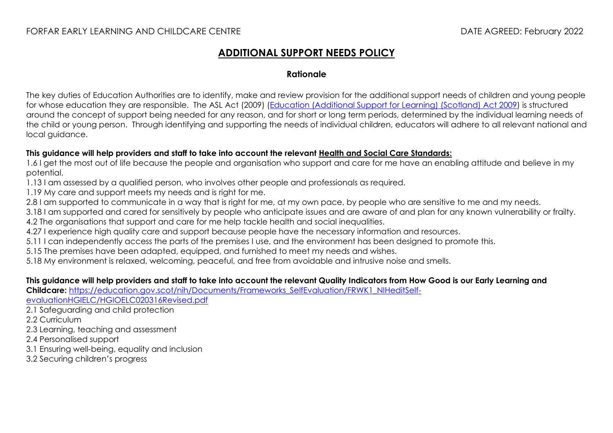## **ADDITIONAL SUPPORT NEEDS POLICY**

#### **Rationale**

The key duties of Education Authorities are to identify, make and review provision for the additional support needs of children and young people for whose education they are responsible. The ASL Act (2009) ([Education \(Additional Support for Learning\) \(Scotland\) Act 2009](http://www.legislation.gov.uk/asp/2009/7/pdfs/asp_20090007_en.pdf)) is structured around the concept of support being needed for any reason, and for short or long term periods, determined by the individual learning needs of the child or young person. Through identifying and supporting the needs of individual children, educators will adhere to all relevant national and local guidance.

#### **This guidance will help providers and staff to take into account the relevant [Health and Social Care Standards:](https://www.gov.scot/binaries/content/documents/govscot/publications/advice-and-guidance/2017/06/health-social-care-standards-support-life/documents/00520693-pdf/00520693-pdf/govscot%3Adocument/00520693.pdf)**

1.6 I get the most out of life because the people and organisation who support and care for me have an enabling attitude and believe in my potential.

1.13 I am assessed by a qualified person, who involves other people and professionals as required.

1.19 My care and support meets my needs and is right for me.

2.8 I am supported to communicate in a way that is right for me, at my own pace, by people who are sensitive to me and my needs.

3.18 I am supported and cared for sensitively by people who anticipate issues and are aware of and plan for any known vulnerability or frailty.

4.2 The organisations that support and care for me help tackle health and social inequalities.

4.27 I experience high quality care and support because people have the necessary information and resources.

5.11 I can independently access the parts of the premises I use, and the environment has been designed to promote this.

5.15 The premises have been adapted, equipped, and furnished to meet my needs and wishes.

5.18 My environment is relaxed, welcoming, peaceful, and free from avoidable and intrusive noise and smells.

#### **This guidance will help providers and staff to take into account the relevant Quality Indicators from How Good is our Early Learning and**

**Childcare:** [https://education.gov.scot/nih/Documents/Frameworks\\_SelfEvaluation/FRWK1\\_NIHeditSelf-](https://education.gov.scot/nih/Documents/Frameworks_SelfEvaluation/FRWK1_NIHeditSelf-evaluationHGIELC/HGIOELC020316Revised.pdf)

[evaluationHGIELC/HGIOELC020316Revised.pdf](https://education.gov.scot/nih/Documents/Frameworks_SelfEvaluation/FRWK1_NIHeditSelf-evaluationHGIELC/HGIOELC020316Revised.pdf)

2.1 Safeguarding and child protection

2.2 Curriculum

2.3 Learning, teaching and assessment

2.4 Personalised support

3.1 Ensuring well-being, equality and inclusion

3.2 Securing children's progress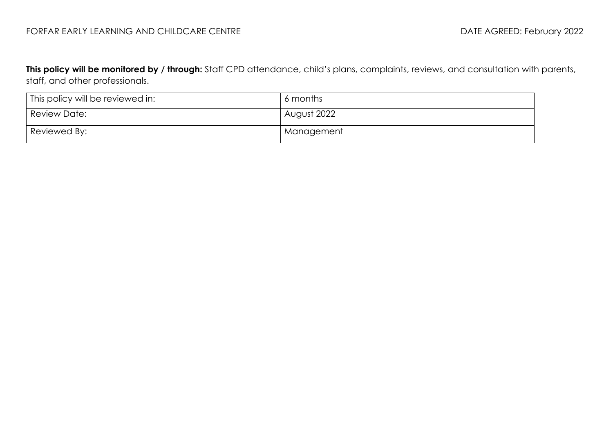### FORFAR EARLY LEARNING AND CHILDCARE CENTRE **Extractional CHILDS CONTROL** DATE AGREED: February 2022

**This policy will be monitored by / through:** Staff CPD attendance, child's plans, complaints, reviews, and consultation with parents, staff, and other professionals.

| This policy will be reviewed in: | 6 months    |
|----------------------------------|-------------|
| Review Date:                     | August 2022 |
| Reviewed By:                     | Management  |